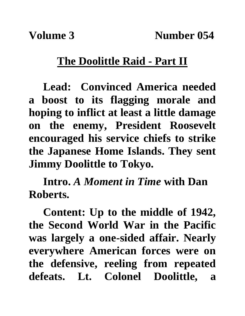## **The Doolittle Raid - Part II**

**Lead: Convinced America needed a boost to its flagging morale and hoping to inflict at least a little damage on the enemy, President Roosevelt encouraged his service chiefs to strike the Japanese Home Islands. They sent Jimmy Doolittle to Tokyo.**

**Intro.** *A Moment in Time* **with Dan Roberts.**

**Content: Up to the middle of 1942, the Second World War in the Pacific was largely a one-sided affair. Nearly everywhere American forces were on the defensive, reeling from repeated defeats. Lt. Colonel Doolittle, a**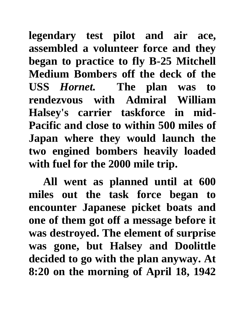**legendary test pilot and air ace, assembled a volunteer force and they began to practice to fly B-25 Mitchell Medium Bombers off the deck of the USS** *Hornet.* **The plan was to rendezvous with Admiral William Halsey's carrier taskforce in mid-Pacific and close to within 500 miles of Japan where they would launch the two engined bombers heavily loaded with fuel for the 2000 mile trip.**

**All went as planned until at 600 miles out the task force began to encounter Japanese picket boats and one of them got off a message before it was destroyed. The element of surprise was gone, but Halsey and Doolittle decided to go with the plan anyway. At 8:20 on the morning of April 18, 1942**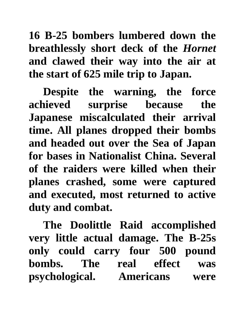**16 B-25 bombers lumbered down the breathlessly short deck of the** *Hornet*  **and clawed their way into the air at the start of 625 mile trip to Japan.**

**Despite the warning, the force achieved surprise because the Japanese miscalculated their arrival time. All planes dropped their bombs and headed out over the Sea of Japan for bases in Nationalist China. Several of the raiders were killed when their planes crashed, some were captured and executed, most returned to active duty and combat.** 

**The Doolittle Raid accomplished very little actual damage. The B-25s only could carry four 500 pound bombs. The real effect was psychological. Americans were**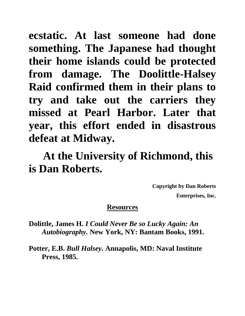**ecstatic. At last someone had done something. The Japanese had thought their home islands could be protected from damage. The Doolittle-Halsey Raid confirmed them in their plans to try and take out the carriers they missed at Pearl Harbor. Later that year, this effort ended in disastrous defeat at Midway.**

## **At the University of Richmond, this is Dan Roberts.**

**Copyright by Dan Roberts Enterprises, Inc.**

## **Resources**

**Dolittle, James H.** *I Could Never Be so Lucky Again: An Autobiography.* **New York, NY: Bantam Books, 1991.**

**Potter, E.B.** *Bull Halsey.* **Annapolis, MD: Naval Institute Press, 1985.**